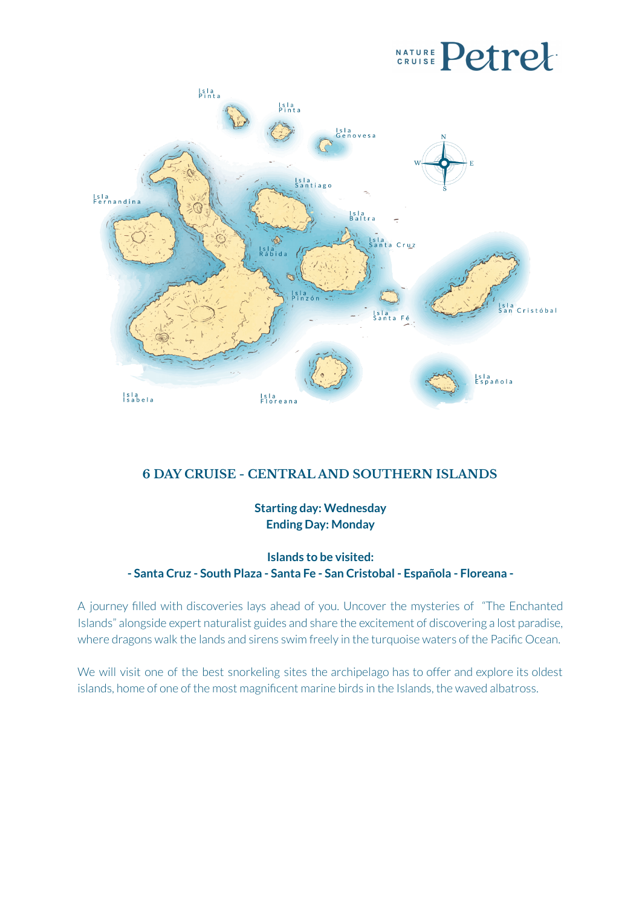# **CRUISE** Petrel



# **6 DAY CRUISE - CENTRAL AND SOUTHERN ISLANDS**

**Starting day: Wednesday Ending Day: Monday**

**Islands to be visited: - Santa Cruz - South Plaza - Santa Fe - San Cristobal - Española - Floreana -**

A journey filled with discoveries lays ahead of you. Uncover the mysteries of "The Enchanted Islands" alongside expert naturalist guides and share the excitement of discovering a lost paradise, where dragons walk the lands and sirens swim freely in the turquoise waters of the Pacific Ocean.

We will visit one of the best snorkeling sites the archipelago has to offer and explore its oldest islands, home of one of the most magnificent marine birds in the Islands, the waved albatross.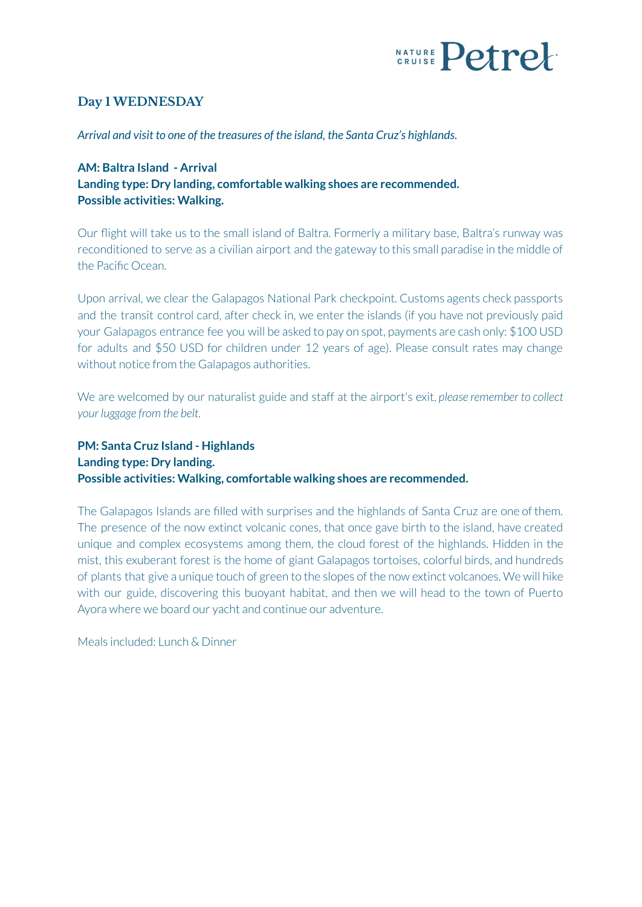

# **Day 1 WEDNESDAY**

*Arrival and visit to one of the treasures of the island, the Santa Cruz's highlands.*

# **AM: Baltra Island - Arrival Landing type: Dry landing, comfortable walking shoes are recommended. Possible activities: Walking.**

Our flight will take us to the small island of Baltra. Formerly a military base, Baltra's runway was reconditioned to serve as a civilian airport and the gateway to this small paradise in the middle of the Pacific Ocean.

Upon arrival, we clear the Galapagos National Park checkpoint. Customs agents check passports and the transit control card, after check in, we enter the islands (if you have not previously paid your Galapagos entrance fee you will be asked to pay on spot, payments are cash only: \$100 USD for adults and \$50 USD for children under 12 years of age). Please consult rates may change without notice from the Galapagos authorities.

We are welcomed by our naturalist guide and staff at the airport's exit, *please remember to collect your luggage from the belt.*

# **PM: Santa Cruz Island - Highlands Landing type: Dry landing. Possible activities: Walking, comfortable walking shoes are recommended.**

The Galapagos Islands are filled with surprises and the highlands of Santa Cruz are one of them. The presence of the now extinct volcanic cones, that once gave birth to the island, have created unique and complex ecosystems among them, the cloud forest of the highlands. Hidden in the mist, this exuberant forest is the home of giant Galapagos tortoises, colorful birds, and hundreds of plants that give a unique touch of green to the slopes of the now extinct volcanoes. We will hike with our guide, discovering this buoyant habitat, and then we will head to the town of Puerto Ayora where we board our yacht and continue our adventure.

Meals included: Lunch & Dinner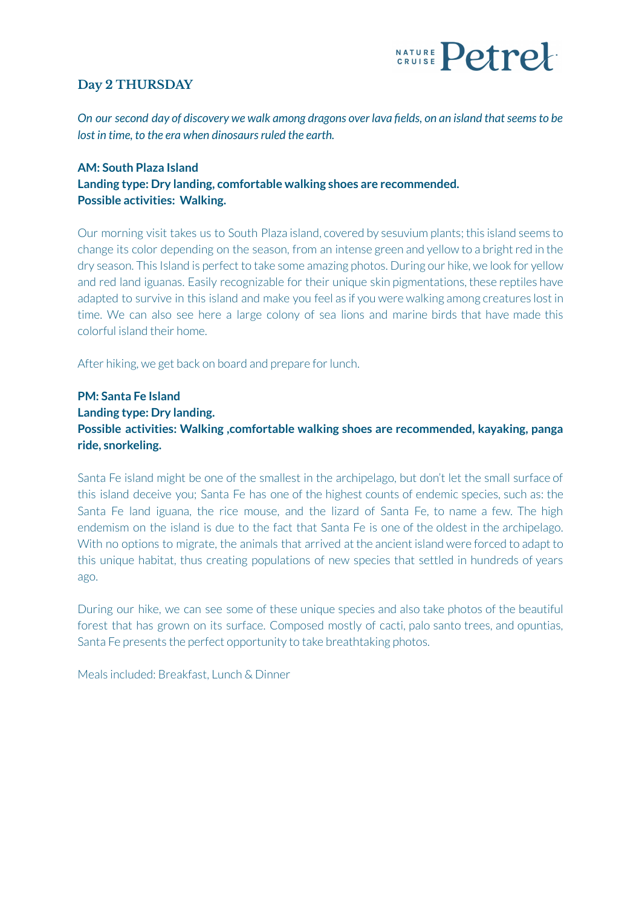

# **Day 2 THURSDAY**

*On our second day of discovery we walk among dragons over lava fields, on an island thatseemsto be lost in time, to the era when dinosaurs ruled the earth.* 

#### **AM: South Plaza Island Landing type: Dry landing, comfortable walking shoes are recommended. Possible activities: Walking.**

Our morning visit takes us to South Plaza island, covered by sesuvium plants; this island seems to change its color depending on the season, from an intense green and yellow to a bright red in the dry season. This Island is perfect to take some amazing photos. During our hike, we look for yellow and red land iguanas. Easily recognizable for their unique skin pigmentations, these reptiles have adapted to survive in this island and make you feel as if you were walking among creatures lost in time. We can also see here a large colony of sea lions and marine birds that have made this colorful island their home.

After hiking, we get back on board and prepare for lunch.

# **PM: Santa Fe Island Landing type: Dry landing. Possible activities: Walking ,comfortable walking shoes are recommended, kayaking, panga ride, snorkeling.**

Santa Fe island might be one of the smallest in the archipelago, but don't let the small surface of this island deceive you; Santa Fe has one of the highest counts of endemic species, such as: the Santa Fe land iguana, the rice mouse, and the lizard of Santa Fe, to name a few. The high endemism on the island is due to the fact that Santa Fe is one of the oldest in the archipelago. With no options to migrate, the animals that arrived at the ancient island were forced to adapt to this unique habitat, thus creating populations of new species that settled in hundreds of years ago.

During our hike, we can see some of these unique species and also take photos of the beautiful forest that has grown on its surface. Composed mostly of cacti, palo santo trees, and opuntias, Santa Fe presents the perfect opportunity to take breathtaking photos.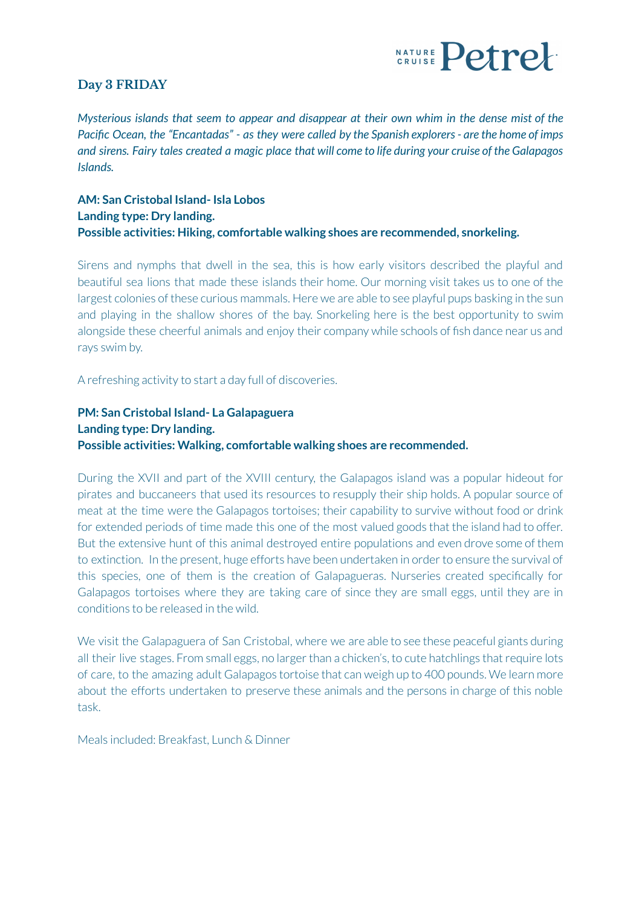

#### **Day 3 FRIDAY**

*Mysterious islands that seem to appear and disappear at their own whim in the dense mist of the* Pacific Ocean, the "Encantadas" - as they were called by the Spanish explorers - are the home of imps and sirens. Fairy tales created a magic place that will come to life during your cruise of the Galapagos *Islands.*

#### **AM: San Cristobal Island- Isla Lobos Landing type: Dry landing. Possible activities: Hiking, comfortable walking shoes are recommended, snorkeling.**

Sirens and nymphs that dwell in the sea, this is how early visitors described the playful and beautiful sea lions that made these islands their home. Our morning visit takes us to one of the largest colonies of these curious mammals. Here we are able to see playful pups basking in the sun and playing in the shallow shores of the bay. Snorkeling here is the best opportunity to swim alongside these cheerful animals and enjoy their company while schools of fish dance near us and rays swim by.

A refreshing activity to start a day full of discoveries.

# **PM: San Cristobal Island- La Galapaguera Landing type: Dry landing. Possible activities: Walking, comfortable walking shoes are recommended.**

During the XVII and part of the XVIII century, the Galapagos island was a popular hideout for pirates and buccaneers that used its resources to resupply their ship holds. A popular source of meat at the time were the Galapagos tortoises; their capability to survive without food or drink for extended periods of time made this one of the most valued goods that the island had to offer. But the extensive hunt of this animal destroyed entire populations and even drove some of them to extinction. In the present, huge efforts have been undertaken in order to ensure the survival of this species, one of them is the creation of Galapagueras. Nurseries created specifically for Galapagos tortoises where they are taking care of since they are small eggs, until they are in conditions to be released in the wild.

We visit the Galapaguera of San Cristobal, where we are able to see these peaceful giants during all their live stages. From small eggs, no larger than a chicken's, to cute hatchlings that require lots of care, to the amazing adult Galapagos tortoise that can weigh up to 400 pounds. We learn more about the efforts undertaken to preserve these animals and the persons in charge of this noble task.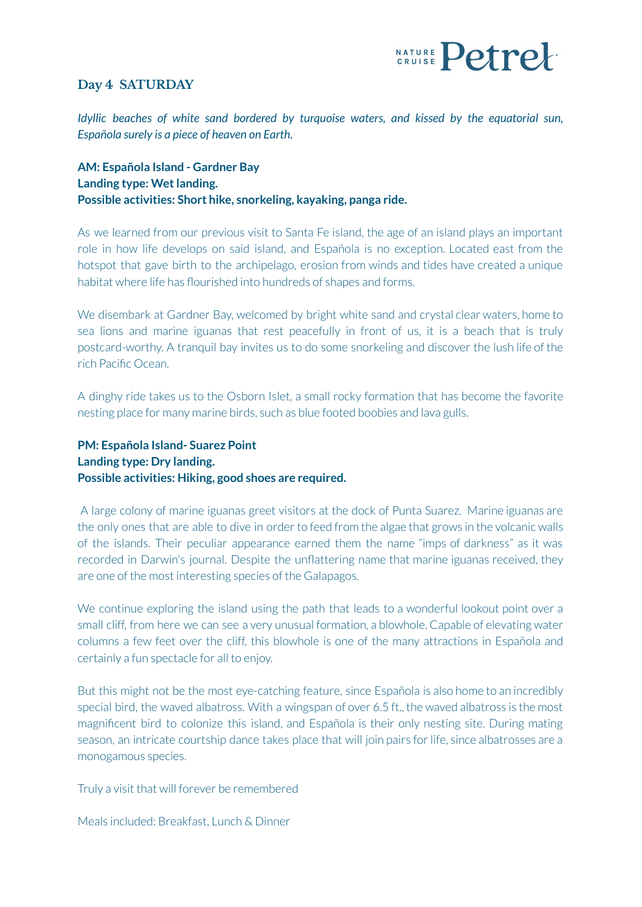

#### **Day 4 SATURDAY**

*Idyllic beaches of white sand bordered by turquoise waters, and kissed by the equatorial sun, Española surely is a piece of heaven on Earth.*

**AM: Española Island - Gardner Bay Landing type: Wetlanding. Possible activities: Short hike, snorkeling, kayaking, panga ride.**

As we learned from our previous visit to Santa Fe island, the age of an island plays an important role in how life develops on said island, and Española is no exception. Located east from the hotspot that gave birth to the archipelago, erosion from winds and tides have created a unique habitat where life has flourished into hundreds of shapes and forms.

We disembark at Gardner Bay, welcomed by bright white sand and crystal clear waters, home to sea lions and marine iguanas that rest peacefully in front of us, it is a beach that is truly postcard-worthy. A tranquil bay invites us to do some snorkeling and discover the lush life of the rich Pacific Ocean.

A dinghy ride takes us to the Osborn Islet, a small rocky formation that has become the favorite nesting place for many marine birds, such as blue footed boobies and lava gulls.

# **PM: Española Island- Suarez Point Landing type: Dry landing. Possible activities: Hiking, good shoes are required.**

A large colony of marine iguanas greet visitors at the dock of Punta Suarez. Marine iguanas are the only ones that are able to dive in order to feed from the algae that grows in the volcanic walls of the islands. Their peculiar appearance earned them the name "imps of darkness" as it was recorded in Darwin's journal. Despite the unflattering name that marine iguanas received, they are one of the most interesting species of the Galapagos.

We continue exploring the island using the path that leads to a wonderful lookout point over a small cliff, from here we can see a very unusual formation, a blowhole. Capable of elevating water columns a few feet over the cliff, this blowhole is one of the many attractions in Española and certainly a fun spectacle for all to enjoy.

But this might not be the most eye-catching feature, since Española is also home to an incredibly special bird, the waved albatross. With a wingspan of over 6.5 ft., the waved albatross is the most magnificent bird to colonize this island, and Española is their only nesting site. During mating season, an intricate courtship dance takes place that will join pairs forlife, since albatrosses are a monogamous species.

Truly a visit that will forever be remembered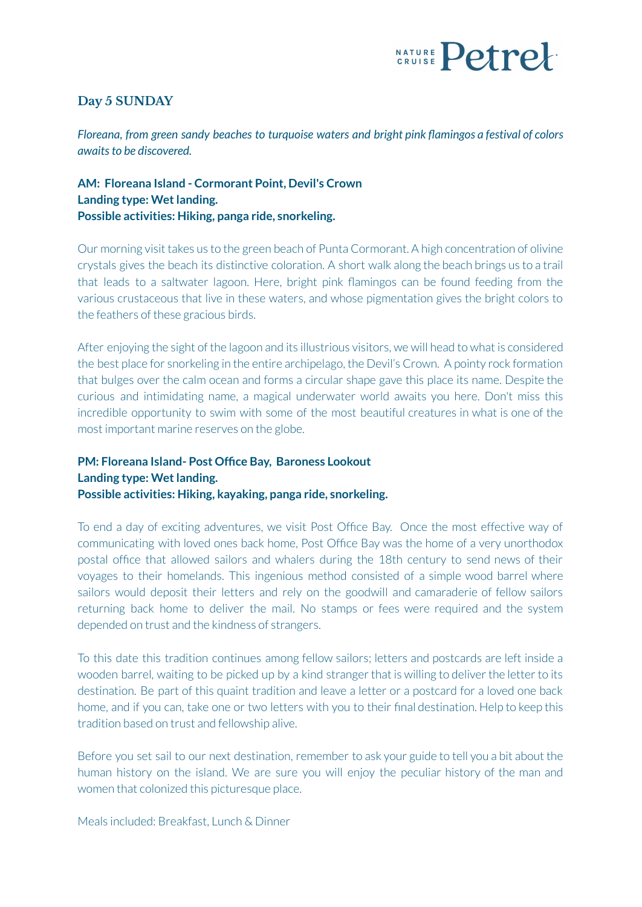

# **Day 5 SUNDAY**

*Floreana, from green sandy beaches to turquoise waters and bright pink flamingos a festival of colors awaitsto be discovered.*

# **AM: Floreana Island - Cormorant Point, Devil's Crown Landing type: Wet landing. Possible activities: Hiking, panga ride, snorkeling.**

Our morning visit takes us to the green beach of Punta Cormorant. A high concentration of olivine crystals gives the beach its distinctive coloration. A short walk along the beach brings us to a trail that leads to a saltwater lagoon. Here, bright pink flamingos can be found feeding from the various crustaceous that live in these waters, and whose pigmentation gives the bright colors to the feathers of these gracious birds.

After enjoying the sight of the lagoon and its illustrious visitors, we will head to what is considered the best place for snorkeling in the entire archipelago, the Devil's Crown. A pointy rock formation that bulges over the calm ocean and forms a circular shape gave this place its name. Despite the curious and intimidating name, a magical underwater world awaits you here. Don't miss this incredible opportunity to swim with some of the most beautiful creatures in what is one of the most important marine reserves on the globe.

# **PM: Floreana Island- Post Office Bay, Baroness Lookout Landing type: Wet landing. Possible activities: Hiking, kayaking, panga ride, snorkeling.**

To end a day of exciting adventures, we visit Post Office Bay. Once the most effective way of communicating with loved ones back home, Post Office Bay was the home of a very unorthodox postal office that allowed sailors and whalers during the 18th century to send news of their voyages to their homelands. This ingenious method consisted of a simple wood barrel where sailors would deposit their letters and rely on the goodwill and camaraderie of fellow sailors returning back home to deliver the mail. No stamps or fees were required and the system depended on trust and the kindness of strangers.

To this date this tradition continues among fellow sailors; letters and postcards are left inside a wooden barrel, waiting to be picked up by a kind stranger that is willing to deliver the letter to its destination. Be part of this quaint tradition and leave a letter or a postcard for a loved one back home, and if you can, take one or two letters with you to their final destination. Help to keep this tradition based on trust and fellowship alive.

Before you set sail to our next destination, remember to ask your guide to tell you a bit about the human history on the island. We are sure you will enjoy the peculiar history of the man and women that colonized this picturesque place.